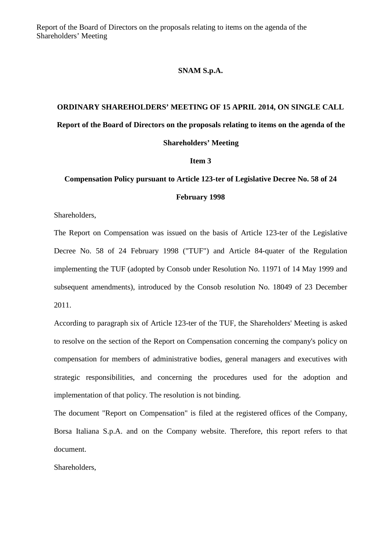Report of the Board of Directors on the proposals relating to items on the agenda of the Shareholders' Meeting

## **SNAM S.p.A.**

## **ORDINARY SHAREHOLDERS' MEETING OF 15 APRIL 2014, ON SINGLE CALL Report of the Board of Directors on the proposals relating to items on the agenda of the**

## **Shareholders' Meeting Item 3**

## **Compensation Policy pursuant to Article 123-ter of Legislative Decree No. 58 of 24 February 1998**

Shareholders,

The Report on Compensation was issued on the basis of Article 123-ter of the Legislative Decree No. 58 of 24 February 1998 ("TUF") and Article 84-quater of the Regulation implementing the TUF (adopted by Consob under Resolution No. 11971 of 14 May 1999 and subsequent amendments), introduced by the Consob resolution No. 18049 of 23 December 2011.

According to paragraph six of Article 123-ter of the TUF, the Shareholders' Meeting is asked to resolve on the section of the Report on Compensation concerning the company's policy on compensation for members of administrative bodies, general managers and executives with strategic responsibilities, and concerning the procedures used for the adoption and implementation of that policy. The resolution is not binding.

The document "Report on Compensation" is filed at the registered offices of the Company, Borsa Italiana S.p.A. and on the Company website. Therefore, this report refers to that document.

Shareholders,